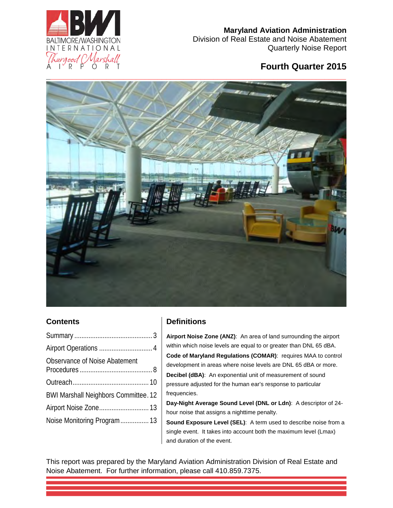

Division of Real Estate and Noise Abatement Quarterly Noise Report

## **Fourth Quarter 2015**



## **Contents**

| Observance of Noise Abatement               |
|---------------------------------------------|
|                                             |
| <b>BWI Marshall Neighbors Committee. 12</b> |
| Airport Noise Zone 13                       |
| Noise Monitoring Program 13                 |
|                                             |

## **Definitions**

**Airport Noise Zone (ANZ)**: An area of land surrounding the airport within which noise levels are equal to or greater than DNL 65 dBA. **Code of Maryland Regulations (COMAR)**: requires MAA to control development in areas where noise levels are DNL 65 dBA or more. **Decibel (dBA)**: An exponential unit of measurement of sound pressure adjusted for the human ear's response to particular frequencies.

**Day-Night Average Sound Level (DNL or Ldn)**: A descriptor of 24 hour noise that assigns a nighttime penalty.

**Sound Exposure Level (SEL)**: A term used to describe noise from a single event. It takes into account both the maximum level (Lmax) and duration of the event.

This report was prepared by the Maryland Aviation Administration Division of Real Estate and Noise Abatement. For further information, please call 410.859.7375.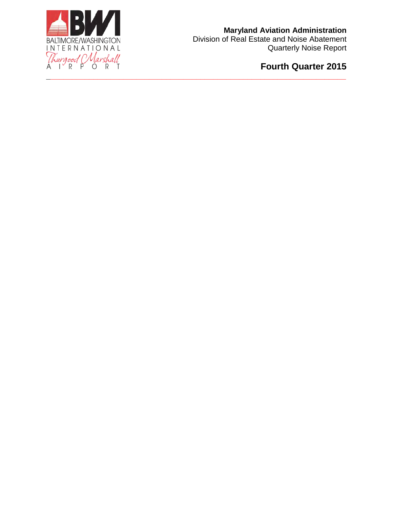

**Fourth Quarter 2015**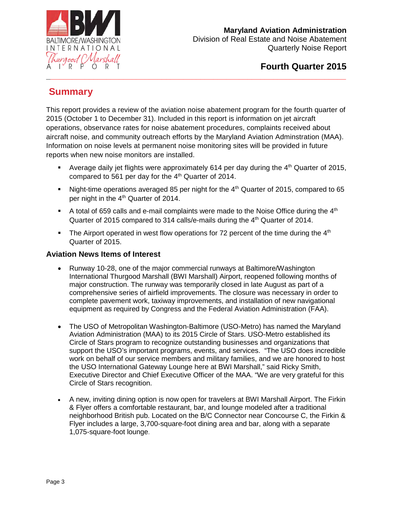

Division of Real Estate and Noise Abatement Quarterly Noise Report

# **Summary**

This report provides a review of the aviation noise abatement program for the fourth quarter of 2015 (October 1 to December 31). Included in this report is information on jet aircraft operations, observance rates for noise abatement procedures, complaints received about aircraft noise, and community outreach efforts by the Maryland Aviation Adminstration (MAA). Information on noise levels at permanent noise monitoring sites will be provided in future reports when new noise monitors are installed.

<span id="page-2-0"></span>**\_\_\_\_\_\_\_\_\_\_\_\_\_\_\_\_\_\_\_\_\_\_\_\_\_\_\_\_\_\_\_\_\_\_\_\_\_\_\_\_\_\_\_\_\_\_\_\_\_\_\_\_\_\_\_\_\_\_\_\_\_\_\_\_\_\_\_\_\_\_**

- Average daily jet flights were approximately 614 per day during the 4<sup>th</sup> Quarter of 2015, compared to 561 per day for the 4<sup>th</sup> Quarter of 2014.
- Night-time operations averaged 85 per night for the  $4<sup>th</sup>$  Quarter of 2015, compared to 65 per night in the 4<sup>th</sup> Quarter of 2014.
- A total of 659 calls and e-mail complaints were made to the Noise Office during the  $4<sup>th</sup>$ Quarter of 2015 compared to 314 calls/e-mails during the 4<sup>th</sup> Quarter of 2014.
- The Airport operated in west flow operations for 72 percent of the time during the  $4<sup>th</sup>$ Quarter of 2015.

### **Aviation News Items of Interest**

- Runway 10-28, one of the major commercial runways at Baltimore/Washington International Thurgood Marshall (BWI Marshall) Airport, reopened following months of major construction. The runway was temporarily closed in late August as part of a comprehensive series of airfield improvements. The closure was necessary in order to complete pavement work, taxiway improvements, and installation of new navigational equipment as required by Congress and the Federal Aviation Administration (FAA).
- The USO of Metropolitan Washington-Baltimore (USO-Metro) has named the Maryland Aviation Administration (MAA) to its 2015 Circle of Stars. USO-Metro established its Circle of Stars program to recognize outstanding businesses and organizations that support the USO's important programs, events, and services. "The USO does incredible work on behalf of our service members and military families, and we are honored to host the USO International Gateway Lounge here at BWI Marshall," said Ricky Smith, Executive Director and Chief Executive Officer of the MAA. "We are very grateful for this Circle of Stars recognition.
- A new, inviting dining option is now open for travelers at BWI Marshall Airport. The Firkin & Flyer offers a comfortable restaurant, bar, and lounge modeled after a traditional neighborhood British pub. Located on the B/C Connector near Concourse C, the Firkin & Flyer includes a large, 3,700-square-foot dining area and bar, along with a separate 1,075-square-foot lounge.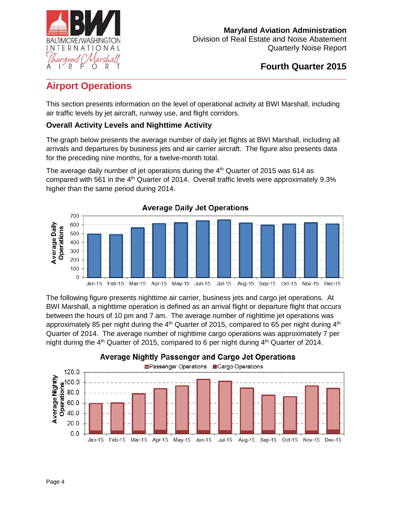

## <span id="page-3-0"></span>**\_\_\_\_\_\_\_\_\_\_\_\_\_\_\_\_\_\_\_\_\_\_\_\_\_\_\_\_\_\_\_\_\_\_\_\_\_\_\_\_\_\_\_\_\_\_\_\_\_\_\_\_\_\_\_\_\_\_\_\_\_\_\_\_\_\_\_\_\_\_ Airport Operations**

This section presents information on the level of operational activity at BWI Marshall, including air traffic levels by jet aircraft, runway use, and flight corridors.

## **Overall Activity Levels and Nighttime Activity**

The graph below presents the average number of daily jet flights at BWI Marshall, including all arrivals and departures by business jets and air carrier aircraft. The figure also presents data for the preceding nine months, for a twelve-month total.

The average daily number of jet operations during the  $4<sup>th</sup>$  Quarter of 2015 was 614 as compared with 561 in the 4<sup>th</sup> Quarter of 2014. Overall traffic levels were approximately 9.3% higher than the same period during 2014.



The following figure presents nighttime air carrier, business jets and cargo jet operations. At BWI Marshall, a nighttime operation is defined as an arrival flight or departure flight that occurs between the hours of 10 pm and 7 am. The average number of nighttime jet operations was approximately 85 per night during the  $4<sup>th</sup>$  Quarter of 2015, compared to 65 per night during  $4<sup>th</sup>$ Quarter of 2014. The average number of nighttime cargo operations was approximately 7 per night during the  $4<sup>th</sup>$  Quarter of 2015, compared to 6 per night during  $4<sup>th</sup>$  Quarter of 2014.

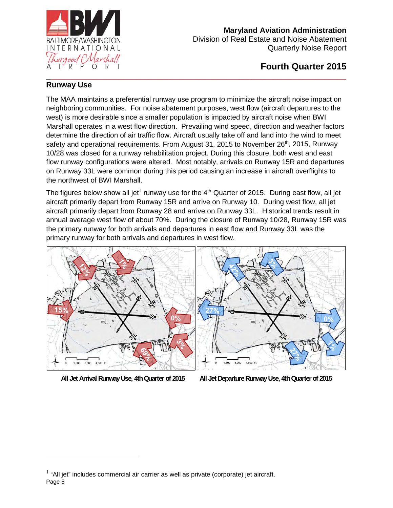

Division of Real Estate and Noise Abatement Quarterly Noise Report

## **Fourth Quarter 2015**

#### **\_\_\_\_\_\_\_\_\_\_\_\_\_\_\_\_\_\_\_\_\_\_\_\_\_\_\_\_\_\_\_\_\_\_\_\_\_\_\_\_\_\_\_\_\_\_\_\_\_\_\_\_\_\_\_\_\_\_\_\_\_\_\_\_\_\_\_\_\_\_ Runway Use**

The MAA maintains a preferential runway use program to minimize the aircraft noise impact on neighboring communities. For noise abatement purposes, west flow (aircraft departures to the west) is more desirable since a smaller population is impacted by aircraft noise when BWI Marshall operates in a west flow direction. Prevailing wind speed, direction and weather factors determine the direction of air traffic flow. Aircraft usually take off and land into the wind to meet safety and operational requirements. From August 31, 2015 to November  $26<sup>th</sup>$ , 2015, Runway 10/28 was closed for a runway rehabilitation project. During this closure, both west and east flow runway configurations were altered. Most notably, arrivals on Runway 15R and departures on Runway 33L were common during this period causing an increase in aircraft overflights to the northwest of BWI Marshall.

The figures below show all jet $^{\rm l}$  runway use for the 4<sup>th</sup> Quarter of 2015. During east flow, all jet aircraft primarily depart from Runway 15R and arrive on Runway 10. During west flow, all jet aircraft primarily depart from Runway 28 and arrive on Runway 33L. Historical trends result in annual average west flow of about 70%. During the closure of Runway 10/28, Runway 15R was the primary runway for both arrivals and departures in east flow and Runway 33L was the primary runway for both arrivals and departures in west flow.



 $\overline{a}$ 



**All Jet Arrival Runway Use, 4th Quarter of 2015 All Jet Departure Runway Use, 4th Quarter of 2015** 

Page 5  $<sup>1</sup>$  "All jet" includes commercial air carrier as well as private (corporate) jet aircraft.</sup>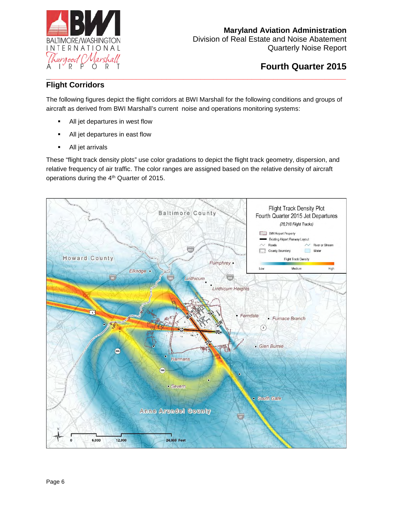

Division of Real Estate and Noise Abatement Quarterly Noise Report

## **Flight Corridors**

The following figures depict the flight corridors at BWI Marshall for the following conditions and groups of aircraft as derived from BWI Marshall's current noise and operations monitoring systems:

- All jet departures in west flow
- All jet departures in east flow
- All jet arrivals

These "flight track density plots" use color gradations to depict the flight track geometry, dispersion, and relative frequency of air traffic. The color ranges are assigned based on the relative density of aircraft operations during the 4<sup>th</sup> Quarter of 2015.

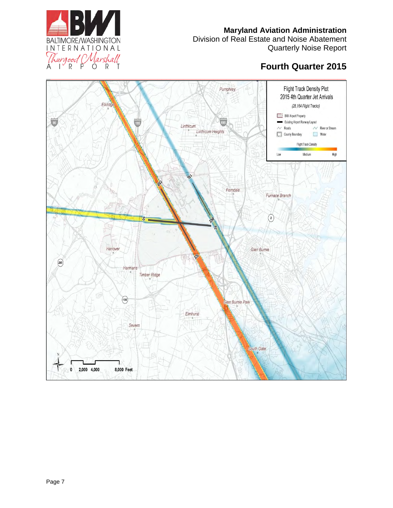Division of Real Estate and Noise Abatement Quarterly Noise Report



#### **Flight Track Density Plot** Pumphrey 2015 4th Quarter Jet Arrivals Elkridge (28,164 Flight Tracks) BWI Airport Property  $\overline{\bullet}$ Existing Airport Runway Layout 195 Linthicum  $\sim$  Roads  $\sim$  River or Stream Linthicum Heights County Boundary Water Flight Track Density High Low Medium Ferndale Furnace Branch  $\bigcirc$  $\vec{a}$ Hanover Glen Burnie  $\widehat{\left(295\right)}$ Harmans Timber Ridge  $\boxed{100}$ Glen Burnie Park Elmhurst Severn South Gate  $\mathbf{0}$ 2,000 4,000 8,000 Feet

**\_\_\_\_\_\_\_\_\_\_\_\_\_\_\_\_\_\_\_\_\_\_\_\_\_\_\_\_\_\_\_\_\_\_\_\_\_\_\_\_\_\_\_\_\_\_\_\_\_\_\_\_\_\_\_\_\_\_\_\_\_\_\_\_\_\_\_\_\_\_**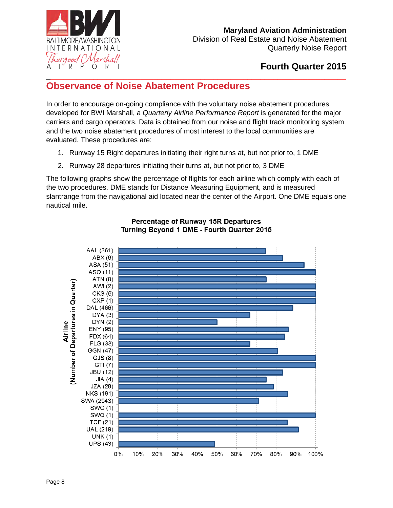

**Fourth Quarter 2015** 

#### <span id="page-7-0"></span>**\_\_\_\_\_\_\_\_\_\_\_\_\_\_\_\_\_\_\_\_\_\_\_\_\_\_\_\_\_\_\_\_\_\_\_\_\_\_\_\_\_\_\_\_\_\_\_\_\_\_\_\_\_\_\_\_\_\_\_\_\_\_\_\_\_\_\_\_\_\_ Observance of Noise Abatement Procedures**

In order to encourage on-going compliance with the voluntary noise abatement procedures developed for BWI Marshall, a *Quarterly Airline Performance Report* is generated for the major carriers and cargo operators. Data is obtained from our noise and flight track monitoring system and the two noise abatement procedures of most interest to the local communities are evaluated. These procedures are:

- 1. Runway 15 Right departures initiating their right turns at, but not prior to, 1 DME
- 2. Runway 28 departures initiating their turns at, but not prior to, 3 DME

The following graphs show the percentage of flights for each airline which comply with each of the two procedures. DME stands for Distance Measuring Equipment, and is measured slantrange from the navigational aid located near the center of the Airport. One DME equals one nautical mile.



#### Percentage of Runway 15R Departures Turning Beyond 1 DME - Fourth Quarter 2015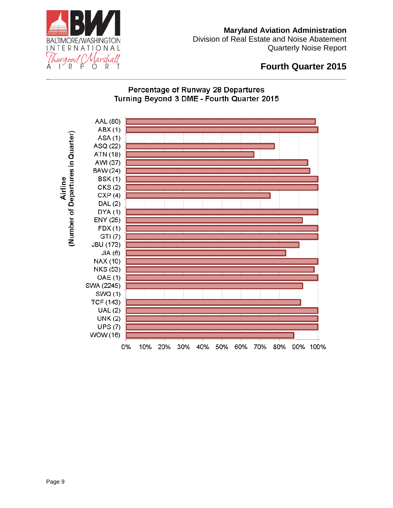

Division of Real Estate and Noise Abatement Quarterly Noise Report

## **Fourth Quarter 2015**

## Percentage of Runway 28 Departures Turning Beyond 3 DME - Fourth Quarter 2015

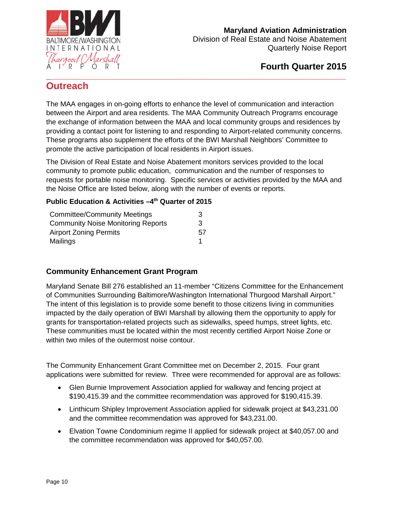

Division of Real Estate and Noise Abatement Quarterly Noise Report

## **Fourth Quarter 2015**

### <span id="page-9-0"></span>**\_\_\_\_\_\_\_\_\_\_\_\_\_\_\_\_\_\_\_\_\_\_\_\_\_\_\_\_\_\_\_\_\_\_\_\_\_\_\_\_\_\_\_\_\_\_\_\_\_\_\_\_\_\_\_\_\_\_\_\_\_\_\_\_\_\_\_\_\_\_ Outreach**

The MAA engages in on-going efforts to enhance the level of communication and interaction between the Airport and area residents. The MAA Community Outreach Programs encourage the exchange of information between the MAA and local community groups and residences by providing a contact point for listening to and responding to Airport-related community concerns. These programs also supplement the efforts of the BWI Marshall Neighbors' Committee to promote the active participation of local residents in Airport issues.

The Division of Real Estate and Noise Abatement monitors services provided to the local community to promote public education, communication and the number of responses to requests for portable noise monitoring. Specific services or activities provided by the MAA and the Noise Office are listed below, along with the number of events or reports.

#### **Public Education & Activities -4th Quarter of 2015**

| <b>Committee/Community Meetings</b>       | 3  |
|-------------------------------------------|----|
| <b>Community Noise Monitoring Reports</b> | 3  |
| <b>Airport Zoning Permits</b>             | 57 |
| Mailings                                  |    |

## **Community Enhancement Grant Program**

Maryland Senate Bill 276 established an 11-member "Citizens Committee for the Enhancement of Communities Surrounding Baltimore/Washington International Thurgood Marshall Airport." The intent of this legislation is to provide some benefit to those citizens living in communities impacted by the daily operation of BWI Marshall by allowing them the opportunity to apply for grants for transportation-related projects such as sidewalks, speed humps, street lights, etc. These communities must be located within the most recently certified Airport Noise Zone or within two miles of the outermost noise contour.

The Community Enhancement Grant Committee met on December 2, 2015. Four grant applications were submitted for review. Three were recommended for approval are as follows:

- Glen Burnie Improvement Association applied for walkway and fencing project at \$190,415.39 and the committee recommendation was approved for \$190,415.39.
- Linthicum Shipley Improvement Association applied for sidewalk project at \$43,231.00 and the committee recommendation was approved for \$43,231.00.
- Elvation Towne Condominium regime II applied for sidewalk project at \$40,057.00 and the committee recommendation was approved for \$40,057.00.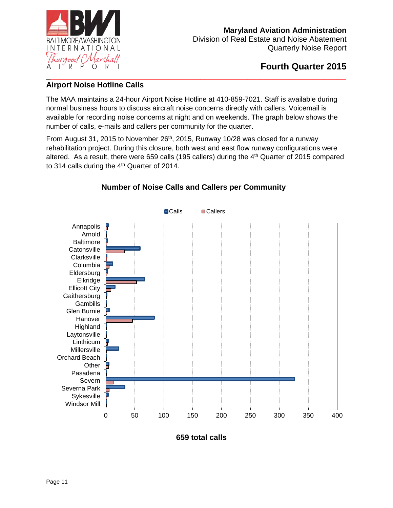

## **Airport Noise Hotline Calls**

The MAA maintains a 24-hour Airport Noise Hotline at 410-859-7021. Staff is available during normal business hours to discuss aircraft noise concerns directly with callers. Voicemail is available for recording noise concerns at night and on weekends. The graph below shows the number of calls, e-mails and callers per community for the quarter.

From August 31, 2015 to November 26<sup>th</sup>, 2015, Runway 10/28 was closed for a runway rehabilitation project. During this closure, both west and east flow runway configurations were altered. As a result, there were 659 calls (195 callers) during the 4<sup>th</sup> Quarter of 2015 compared to 314 calls during the  $4<sup>th</sup>$  Quarter of 2014.



## **Number of Noise Calls and Callers per Community**

**659 total calls**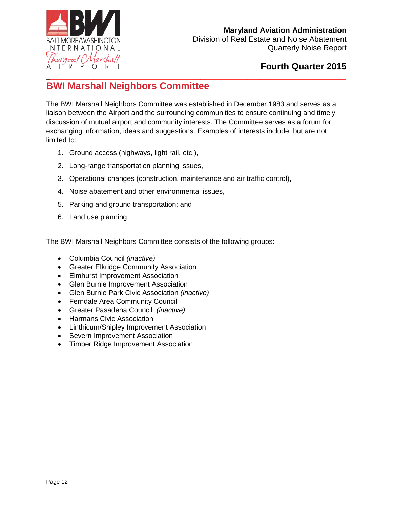

Division of Real Estate and Noise Abatement Quarterly Noise Report

## **Fourth Quarter 2015**

### <span id="page-11-0"></span>**\_\_\_\_\_\_\_\_\_\_\_\_\_\_\_\_\_\_\_\_\_\_\_\_\_\_\_\_\_\_\_\_\_\_\_\_\_\_\_\_\_\_\_\_\_\_\_\_\_\_\_\_\_\_\_\_\_\_\_\_\_\_\_\_\_\_\_\_\_\_ BWI Marshall Neighbors Committee**

The BWI Marshall Neighbors Committee was established in December 1983 and serves as a liaison between the Airport and the surrounding communities to ensure continuing and timely discussion of mutual airport and community interests. The Committee serves as a forum for exchanging information, ideas and suggestions. Examples of interests include, but are not limited to:

- 1. Ground access (highways, light rail, etc.),
- 2. Long-range transportation planning issues,
- 3. Operational changes (construction, maintenance and air traffic control),
- 4. Noise abatement and other environmental issues,
- 5. Parking and ground transportation; and
- 6. Land use planning.

The BWI Marshall Neighbors Committee consists of the following groups:

- Columbia Council *(inactive)*
- Greater Elkridge Community Association
- Elmhurst Improvement Association
- Glen Burnie Improvement Association
- Glen Burnie Park Civic Association *(inactive)*
- Ferndale Area Community Council
- Greater Pasadena Council *(inactive)*
- Harmans Civic Association
- Linthicum/Shipley Improvement Association
- Severn Improvement Association
- Timber Ridge Improvement Association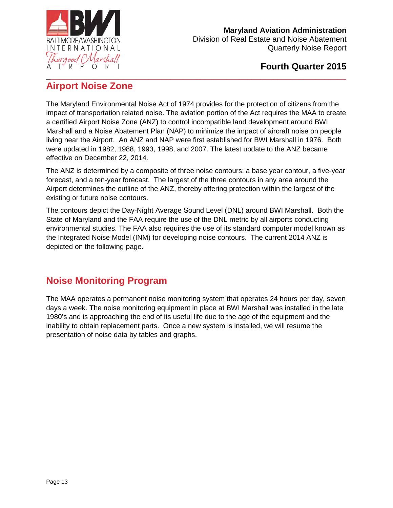

### <span id="page-12-0"></span>**\_\_\_\_\_\_\_\_\_\_\_\_\_\_\_\_\_\_\_\_\_\_\_\_\_\_\_\_\_\_\_\_\_\_\_\_\_\_\_\_\_\_\_\_\_\_\_\_\_\_\_\_\_\_\_\_\_\_\_\_\_\_\_\_\_\_\_\_\_\_ Airport Noise Zone**

The Maryland Environmental Noise Act of 1974 provides for the protection of citizens from the impact of transportation related noise. The aviation portion of the Act requires the MAA to create a certified Airport Noise Zone (ANZ) to control incompatible land development around BWI Marshall and a Noise Abatement Plan (NAP) to minimize the impact of aircraft noise on people living near the Airport. An ANZ and NAP were first established for BWI Marshall in 1976. Both were updated in 1982, 1988, 1993, 1998, and 2007. The latest update to the ANZ became effective on December 22, 2014.

The ANZ is determined by a composite of three noise contours: a base year contour, a five-year forecast, and a ten-year forecast. The largest of the three contours in any area around the Airport determines the outline of the ANZ, thereby offering protection within the largest of the existing or future noise contours.

The contours depict the Day-Night Average Sound Level (DNL) around BWI Marshall. Both the State of Maryland and the FAA require the use of the DNL metric by all airports conducting environmental studies. The FAA also requires the use of its standard computer model known as the Integrated Noise Model (INM) for developing noise contours. The current 2014 ANZ is depicted on the following page.

# <span id="page-12-1"></span>**Noise Monitoring Program**

The MAA operates a permanent noise monitoring system that operates 24 hours per day, seven days a week. The noise monitoring equipment in place at BWI Marshall was installed in the late 1980's and is approaching the end of its useful life due to the age of the equipment and the inability to obtain replacement parts. Once a new system is installed, we will resume the presentation of noise data by tables and graphs.